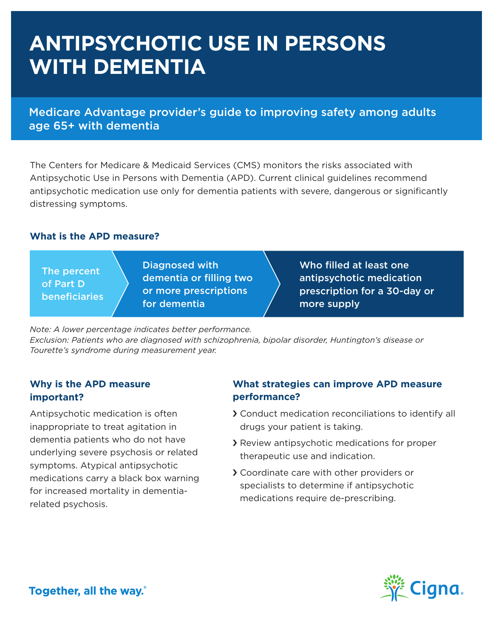## **ANTIPSYCHOTIC USE IN PERSONS WITH DEMENTIA**

Medicare Advantage provider's guide to improving safety among adults age 65+ with dementia

The Centers for Medicare & Medicaid Services (CMS) monitors the risks associated with Antipsychotic Use in Persons with Dementia (APD). Current clinical guidelines recommend antipsychotic medication use only for dementia patients with severe, dangerous or significantly distressing symptoms.

## **What is the APD measure?**

The percent of Part D **beneficiaries**  Diagnosed with dementia or filling two or more prescriptions for dementia

Who filled at least one antipsychotic medication prescription for a 30-day or more supply

*Note: A lower percentage indicates better performance.*

*Exclusion: Patients who are diagnosed with schizophrenia, bipolar disorder, Huntington's disease or Tourette's syndrome during measurement year.* 

## **Why is the APD measure important?**

Antipsychotic medication is often inappropriate to treat agitation in dementia patients who do not have underlying severe psychosis or related symptoms. Atypical antipsychotic medications carry a black box warning for increased mortality in dementiarelated psychosis.

## **What strategies can improve APD measure performance?**

- › Conduct medication reconciliations to identify all drugs your patient is taking.
- › Review antipsychotic medications for proper therapeutic use and indication.
- › Coordinate care with other providers or specialists to determine if antipsychotic medications require de-prescribing.



Together, all the way.